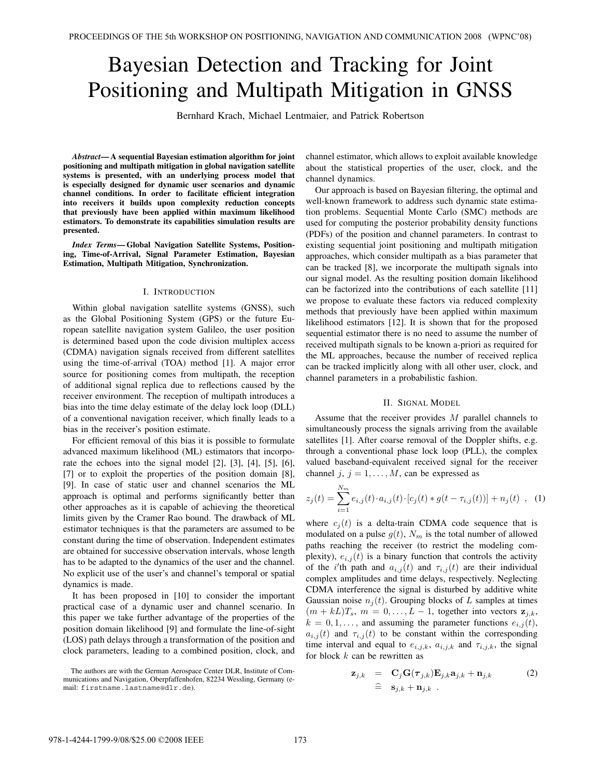# Bayesian Detection and Tracking for Joint Positioning and Multipath Mitigation in GNSS

Bernhard Krach, Michael Lentmaier, and Patrick Robertson

*Abstract***— A sequential Bayesian estimation algorithm for joint positioning and multipath mitigation in global navigation satellite systems is presented, with an underlying process model that is especially designed for dynamic user scenarios and dynamic channel conditions. In order to facilitate efficient integration into receivers it builds upon complexity reduction concepts that previously have been applied within maximum likelihood estimators. To demonstrate its capabilities simulation results are presented.**

*Index Terms***— Global Navigation Satellite Systems, Positioning, Time-of-Arrival, Signal Parameter Estimation, Bayesian Estimation, Multipath Mitigation, Synchronization.**

#### I. INTRODUCTION

Within global navigation satellite systems (GNSS), such as the Global Positioning System (GPS) or the future European satellite navigation system Galileo, the user position is determined based upon the code division multiplex access (CDMA) navigation signals received from different satellites using the time-of-arrival (TOA) method [1]. A major error source for positioning comes from multipath, the reception of additional signal replica due to reflections caused by the receiver environment. The reception of multipath introduces a bias into the time delay estimate of the delay lock loop (DLL) of a conventional navigation receiver, which finally leads to a bias in the receiver's position estimate.

For efficient removal of this bias it is possible to formulate advanced maximum likelihood (ML) estimators that incorporate the echoes into the signal model [2], [3], [4], [5], [6], [7] or to exploit the properties of the position domain [8], [9]. In case of static user and channel scenarios the ML approach is optimal and performs significantly better than other approaches as it is capable of achieving the theoretical limits given by the Cramer Rao bound. The drawback of ML estimator techniques is that the parameters are assumed to be constant during the time of observation. Independent estimates are obtained for successive observation intervals, whose length has to be adapted to the dynamics of the user and the channel. No explicit use of the user's and channel's temporal or spatial dynamics is made.

It has been proposed in [10] to consider the important practical case of a dynamic user and channel scenario. In this paper we take further advantage of the properties of the position domain likelihood [9] and formulate the line-of-sight (LOS) path delays through a transformation of the position and clock parameters, leading to a combined position, clock, and

The authors are with the German Aerospace Center DLR, Institute of Communications and Navigation, Oberpfaffenhofen, 82234 Wessling, Germany (email: firstname.lastname@dlr.de).

channel estimator, which allows to exploit available knowledge about the statistical properties of the user, clock, and the channel dynamics.

Our approach is based on Bayesian filtering, the optimal and well-known framework to address such dynamic state estimation problems. Sequential Monte Carlo (SMC) methods are used for computing the posterior probability density functions (PDFs) of the position and channel parameters. In contrast to existing sequential joint positioning and multipath mitigation approaches, which consider multipath as a bias parameter that can be tracked [8], we incorporate the multipath signals into our signal model. As the resulting position domain likelihood can be factorized into the contributions of each satellite [11] we propose to evaluate these factors via reduced complexity methods that previously have been applied within maximum likelihood estimators [12]. It is shown that for the proposed sequential estimator there is no need to assume the number of received multipath signals to be known a-priori as required for the ML approaches, because the number of received replica can be tracked implicitly along with all other user, clock, and channel parameters in a probabilistic fashion.

#### II. SIGNAL MODEL

Assume that the receiver provides  $M$  parallel channels to simultaneously process the signals arriving from the available satellites [1]. After coarse removal of the Doppler shifts, e.g. through a conventional phase lock loop (PLL), the complex valued baseband-equivalent received signal for the receiver channel j,  $j = 1, ..., M$ , can be expressed as

$$
z_j(t) = \sum_{i=1}^{N_m} e_{i,j}(t) \cdot a_{i,j}(t) \cdot [c_j(t) * g(t - \tau_{i,j}(t))] + n_j(t) \quad , \quad (1)
$$

where  $c_i(t)$  is a delta-train CDMA code sequence that is modulated on a pulse  $g(t)$ ,  $N_m$  is the total number of allowed paths reaching the receiver (to restrict the modeling complexity),  $e_{i,j}(t)$  is a binary function that controls the activity of the *i*'th path and  $a_{i,j}(t)$  and  $\tau_{i,j}(t)$  are their individual<br>complex amplitudes and time delays respectively. Neglecting complex amplitudes and time delays, respectively. Neglecting CDMA interference the signal is disturbed by additive white Gaussian noise  $n_i(t)$ . Grouping blocks of L samples at times  $(m + kL)T_s$ ,  $m = 0, \ldots, L-1$ , together into vectors  $z_{i,k}$ ,  $k = 0, 1, \ldots$ , and assuming the parameter functions  $e_{i,j}(t)$ ,  $a_{i,j}(t)$  and  $\tau_{i,j}(t)$  to be constant within the corresponding time interval and equal to  $e_{i,j,k}$ ,  $a_{i,j,k}$  and  $\tau_{i,j,k}$ , the signal for block  $k$  can be rewritten as

$$
\mathbf{z}_{j,k} = \mathbf{C}_j \mathbf{G}(\boldsymbol{\tau}_{j,k}) \mathbf{E}_{j,k} \mathbf{a}_{j,k} + \mathbf{n}_{j,k} \qquad (2) \n\hat{ } \mathbf{s}_{j,k} + \mathbf{n}_{j,k} .
$$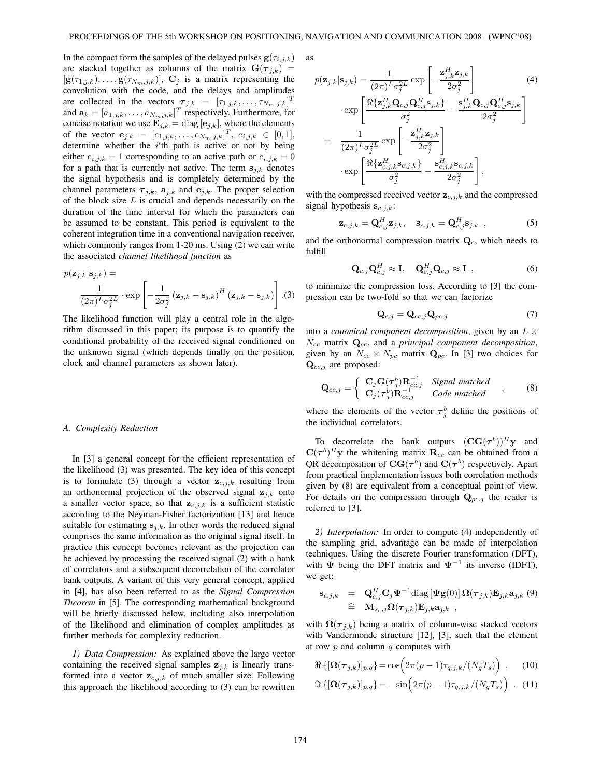In the compact form the samples of the delayed pulses  $\mathbf{g}(\tau_{i,j,k})$ are stacked together as columns of the matrix  $\mathbf{G}(\tau_{j,k})$  =  $[\mathbf{g}(\tau_{1,j,k}),\ldots,\mathbf{g}(\tau_{N_m,j,k})]$ ,  $\mathbf{C}_j$  is a matrix representing the convolution with the code, and the delays and amplitudes are collected in the vectors  $\tau_{j,k} = [\tau_{1,j,k}, \dots, \tau_{N_m,j,k}]^T$ <br>and  $\mathbf{a}_k = [a_{k,j,k}, \dots, a_{N_m,j,k}]^T$  respectively. Furthermore for and  $\mathbf{a}_k = [a_{1,j,k}, \dots, a_{N_m,j,k}]^T$  respectively. Furthermore, for concise notation we use  $\mathbf{E}_{\cdot,k} = d$  is  $[\mathbf{e}_{\cdot,k}]$  where the elements concise notation we use  $\mathbf{E}_{j,k} = \text{diag} [\mathbf{e}_{j,k}]$ , where the elements of the vector  $e_{j,k} = [e_{1,j,k}, \ldots, e_{N_m,j,k}]^T$ ,  $e_{i,j,k} \in [0,1]$ ,<br>determine whether the *i*'th nath is active or not by being determine whether the *i*'th path is active or not by being<br>either  $e_{i+1} = 1$  corresponding to an active path or  $e_{i+1} = 0$ either  $e_{i,j,k} = 1$  corresponding to an active path or  $e_{i,j,k} = 0$ for a path that is currently not active. The term  $s_{j,k}$  denotes the signal hypothesis and is completely determined by the channel parameters  $\tau_{j,k}$ ,  $a_{j,k}$  and  $e_{j,k}$ . The proper selection of the block size  $L$  is crucial and depends necessarily on the duration of the time interval for which the parameters can be assumed to be constant. This period is equivalent to the coherent integration time in a conventional navigation receiver, which commonly ranges from 1-20 ms. Using (2) we can write the associated *channel likelihood function* as

$$
p(\mathbf{z}_{j,k}|\mathbf{s}_{j,k}) = \frac{1}{(2\pi)^L \sigma_j^{2L}} \cdot \exp\left[-\frac{1}{2\sigma_j^2} (\mathbf{z}_{j,k} - \mathbf{s}_{j,k})^H (\mathbf{z}_{j,k} - \mathbf{s}_{j,k})\right].(3)
$$

The likelihood function will play a central role in the algorithm discussed in this paper; its purpose is to quantify the conditional probability of the received signal conditioned on the unknown signal (which depends finally on the position, clock and channel parameters as shown later).

#### *A. Complexity Reduction*

In [3] a general concept for the efficient representation of the likelihood (3) was presented. The key idea of this concept is to formulate (3) through a vector  $z_{c,j,k}$  resulting from an orthonormal projection of the observed signal  $z_{i,k}$  onto a smaller vector space, so that  $\mathbf{z}_{c,j,k}$  is a sufficient statistic according to the Neyman-Fisher factorization [13] and hence suitable for estimating  $s_{i,k}$ . In other words the reduced signal comprises the same information as the original signal itself. In practice this concept becomes relevant as the projection can be achieved by processing the received signal (2) with a bank of correlators and a subsequent decorrelation of the correlator bank outputs. A variant of this very general concept, applied in [4], has also been referred to as the *Signal Compression Theorem* in [5]. The corresponding mathematical background will be briefly discussed below, including also interpolation of the likelihood and elimination of complex amplitudes as further methods for complexity reduction.

*1) Data Compression:* As explained above the large vector containing the received signal samples  $z_{i,k}$  is linearly transformed into a vector  $z_{c,j,k}$  of much smaller size. Following this approach the likelihood according to (3) can be rewritten

as  
\n
$$
p(\mathbf{z}_{j,k}|\mathbf{s}_{j,k}) = \frac{1}{(2\pi)^L \sigma_j^{2L}} \exp\left[-\frac{\mathbf{z}_{j,k}^H \mathbf{z}_{j,k}}{2\sigma_j^2}\right]
$$
\n
$$
\cdot \exp\left[\frac{\Re\{\mathbf{z}_{j,k}^H \mathbf{Q}_{c,j} \mathbf{Q}_{c,j}^H \mathbf{s}_{j,k}\}}{\sigma_j^2} - \frac{\mathbf{s}_{j,k}^H \mathbf{Q}_{c,j} \mathbf{Q}_{c,j}^H \mathbf{s}_{j,k}}{2\sigma_j^2}\right]
$$
\n
$$
= \frac{1}{(2\pi)^L \sigma_j^{2L}} \exp\left[-\frac{\mathbf{z}_{j,k}^H \mathbf{z}_{j,k}}{2\sigma_j^2}\right]
$$
\n
$$
\cdot \exp\left[\frac{\Re\{\mathbf{z}_{c,j,k}^H \mathbf{s}_{c,j,k}\}}{\sum_{j=1}^{L} \sigma_j^2}\right],
$$

 $\sigma_j^2$  $\overline{a}$  $-\frac{\mathbf{s}_{c,j,k}\mathbf{s}_{c,j,k}}{2\sigma_j^2}$  $\overline{a}$ with the compressed received vector  $z_{c,j,k}$  and the compressed signal hypothesis  $\mathbf{s}_{c,j,k}$ :

$$
\mathbf{z}_{c,j,k} = \mathbf{Q}_{c,j}^H \mathbf{z}_{j,k}, \quad \mathbf{s}_{c,j,k} = \mathbf{Q}_{c,j}^H \mathbf{s}_{j,k} \quad , \tag{5}
$$

and the orthonormal compression matrix  $Q_c$ , which needs to fulfill

$$
\mathbf{Q}_{c,j}\mathbf{Q}_{c,j}^H \approx \mathbf{I}, \quad \mathbf{Q}_{c,j}^H \mathbf{Q}_{c,j} \approx \mathbf{I} \tag{6}
$$

to minimize the compression loss. According to [3] the compression can be two-fold so that we can factorize

$$
\mathbf{Q}_{c,j} = \mathbf{Q}_{cc,j} \mathbf{Q}_{pc,j} \tag{7}
$$

,

into a *canonical component decomposition*, given by an  $L \times$ <sup>N</sup>cc matrix **<sup>Q</sup>**cc, and a *principal component decomposition*, given by an  $N_{cc} \times N_{pc}$  matrix  $\mathbf{Q}_{pc}$ . In [3] two choices for **<sup>Q</sup>**cc,j are proposed:

$$
\mathbf{Q}_{cc,j} = \left\{ \begin{array}{ll} \mathbf{C}_{j} \mathbf{G}(\boldsymbol{\tau}_{j}^{b}) \mathbf{R}_{cc,j}^{-1} & \text{Signal matched} \\ \mathbf{C}_{j}(\boldsymbol{\tau}_{j}^{b}) \mathbf{R}_{cc,j}^{-1} & \text{Code matched} \end{array} \right., \tag{8}
$$

where the elements of the vector  $\tau_j^b$  define the positions of the individual correlators the individual correlators.

To decorrelate the bank outputs  $(\mathbf{CG}(\tau^b))^H$ **y** and  $C(\tau^{b})^{H}$ y the whitening matrix  $R_{cc}$  can be obtained from a QR decomposition of  $CG(\tau^b)$  and  $C(\tau^b)$  respectively. Apart from practical implementation issues both correlation methods given by (8) are equivalent from a conceptual point of view. For details on the compression through  $\mathbf{Q}_{pc,j}$  the reader is referred to [3].

*2) Interpolation:* In order to compute (4) independently of the sampling grid, advantage can be made of interpolation techniques. Using the discrete Fourier transformation (DFT), with  $\Psi$  being the DFT matrix and  $\Psi^{-1}$  its inverse (IDFT), we get:

$$
\mathbf{s}_{c,j,k} = \mathbf{Q}_{c,j}^H \mathbf{C}_j \mathbf{\Psi}^{-1} \text{diag} \left[ \mathbf{\Psi} \mathbf{g}(0) \right] \mathbf{\Omega}(\boldsymbol{\tau}_{j,k}) \mathbf{E}_{j,k} \mathbf{a}_{j,k} \quad (9) \\ \widehat{=} \mathbf{M}_{s_c,j} \mathbf{\Omega}(\boldsymbol{\tau}_{j,k}) \mathbf{E}_{j,k} \mathbf{a}_{j,k} ,
$$

with  $\Omega(\tau_{i,k})$  being a matrix of column-wise stacked vectors with Vandermonde structure [12], [3], such that the element at row  $p$  and column  $q$  computes with

$$
\Re\left\{[\mathbf{\Omega}(\boldsymbol{\tau}_{j,k})]_{p,q}\right\} = \cos\left(2\pi(p-1)\tau_{q,j,k}/(N_gT_s)\right) ,\qquad(10)
$$

$$
\Im\left\{[\mathbf{\Omega}(\boldsymbol{\tau}_{j,k})]_{p,q}\right\} = -\sin\left(2\pi(p-1)\tau_{q,j,k}/(N_gT_s)\right) \ . \tag{11}
$$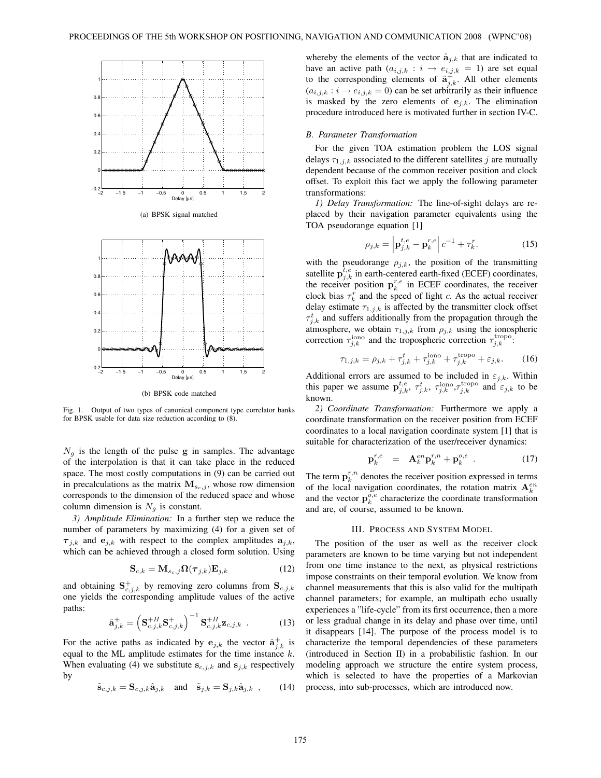

Fig. 1. Output of two types of canonical component type correlator banks for BPSK usable for data size reduction according to (8).

 $N<sub>g</sub>$  is the length of the pulse **g** in samples. The advantage of the interpolation is that it can take place in the reduced space. The most costly computations in (9) can be carried out in precalculations as the matrix  $M_{s_c,j}$ , whose row dimension corresponds to the dimension of the reduced space and whose column dimension is  $N<sub>g</sub>$  is constant.

*3) Amplitude Elimination:* In a further step we reduce the number of parameters by maximizing (4) for a given set of  $\tau_{i,k}$  and  $\mathbf{e}_{i,k}$  with respect to the complex amplitudes  $\mathbf{a}_{i,k}$ , which can be achieved through a closed form solution. Using

$$
\mathbf{S}_{c,k} = \mathbf{M}_{s_c,j} \mathbf{\Omega}(\boldsymbol{\tau}_{j,k}) \mathbf{E}_{j,k}
$$
 (12)

and obtaining  $S_{c,j,k}^{+}$  by removing zero columns from  $S_{c,j,k}$ <br>one vields the corresponding amplitude values of the active one yields the corresponding amplitude values of the active paths:

$$
\hat{\mathbf{a}}_{j,k}^{+} = \left(\mathbf{S}_{c,j,k}^{+H} \mathbf{S}_{c,j,k}^{+}\right)^{-1} \mathbf{S}_{c,j,k}^{+H} \mathbf{z}_{c,j,k} . \tag{13}
$$

For the active paths as indicated by  $e_{j,k}$  the vector  $\hat{a}_{j,k}^{\dagger}$  is equal to the MI applitude estimates for the time instance k equal to the ML amplitude estimates for the time instance  $k$ . When evaluating (4) we substitute  $\mathbf{s}_{c,j,k}$  and  $\mathbf{s}_{j,k}$  respectively by

$$
\tilde{\mathbf{s}}_{c,j,k} = \mathbf{S}_{c,j,k} \hat{\mathbf{a}}_{j,k} \quad \text{and} \quad \tilde{\mathbf{s}}_{j,k} = \mathbf{S}_{j,k} \hat{\mathbf{a}}_{j,k} \quad , \qquad (14)
$$

whereby the elements of the vector  $\hat{a}_{j,k}$  that are indicated to have an active path  $(a_{i,j,k} : i \rightarrow e_{i,j,k} = 1)$  are set equal<br>to the corresponding elements of  $\hat{\mathfrak{s}}^+$  all other elements to the corresponding elements of  $\hat{a}_{j,k}^{\dagger}$ . All other elements  $(a_{k+1}, a_{k+1} = 0)$  can be set arbitrarily as their influence  $(a_{i,j,k} : i \rightarrow e_{i,j,k} = 0)$  can be set arbitrarily as their influence is masked by the zero elements of  $e_{j,k}$ . The elimination procedure introduced here is motivated further in section IV-C.

## *B. Parameter Transformation*

For the given TOA estimation problem the LOS signal delays  $\tau_{1,j,k}$  associated to the different satellites j are mutually dependent because of the common receiver position and clock offset. To exploit this fact we apply the following parameter transformations:

*1) Delay Transformation:* The line-of-sight delays are replaced by their navigation parameter equivalents using the TOA pseudorange equation [1]

$$
\rho_{j,k} = \left| \mathbf{p}_{j,k}^{t,e} - \mathbf{p}_k^{r,e} \right| c^{-1} + \tau_k^r. \tag{15}
$$

with the pseudorange  $\rho_{j,k}$ , the position of the transmitting satellite  $\mathbf{p}_{j,k}^{t,e}$  in earth-centered earth-fixed (ECEF) coordinates, the receiver the receiver position  $\mathbf{p}_k^{r,e}$  in ECEF coordinates, the receiver clock bias  $\tau^r$  and the speed of light c. As the actual receiver clock bias  $\tau_k^r$  and the speed of light c. As the actual receiver delay estimate  $\tau_{k+1}$  is affected by the transmitter clock offset delay estimate  $\tau_{1,j,k}$  is affected by the transmitter clock offset  $\tau_{j,k}$  and surfers additionally from  $\rho_{j,k}$  using the ionospheric<br>atmosphere, we obtain  $\tau_{1,j,k}$  from  $\rho_{j,k}$  using the ionospheric<br>correction  $\tau^{\text{tropo}}$  $\tau_{i,k}^t$  and suffers additionally from the propagation through the correction  $\tau_{j,k}^{\text{iono}}$  and the tropospheric correction  $\tau_{j,k}^{\text{tropo}}$ .

$$
\tau_{1,j,k} = \rho_{j,k} + \tau_{j,k}^t + \tau_{j,k}^{\text{iono}} + \tau_{j,k}^{\text{tropo}} + \varepsilon_{j,k}.
$$
 (16)

Additional errors are assumed to be included in  $\varepsilon_{j,k}$ . Within<br>this paper we assume  $p_t^{t,e}$   $\tau^t$   $\tau^{iono}$   $\tau^{tropo}$  and  $\varepsilon_{i,k}$  to be this paper we assume  $\mathbf{p}_{j,k}^{t,e}$ ,  $\tau_{j,k}^{t}$ ,  $\tau_{j,k}^{\text{iono}}$ ,  $\tau_{j,k}^{\text{tropo}}$  and  $\varepsilon_{j,k}$  to be known.

*2) Coordinate Transformation:* Furthermore we apply a coordinate transformation on the receiver position from ECEF coordinates to a local navigation coordinate system [1] that is suitable for characterization of the user/receiver dynamics:

$$
\mathbf{p}_k^{r,e} = \mathbf{A}_k^{en} \mathbf{p}_k^{r,n} + \mathbf{p}_k^{o,e} \tag{17}
$$

The term  $\mathbf{p}_k^{r,n}$  denotes the receiver position expressed in terms of the local navigation coordinates, the rotation matrix  $\mathbf{\Lambda}^{en}$ of the local navigation coordinates, the rotation matrix  $A_k^{en}$ and the vector  $\mathbf{p}_k^o$ <sup>e</sup> characterize the coordinate transformation<br>and are of course assumed to be known and are, of course, assumed to be known.

## III. PROCESS AND SYSTEM MODEL

The position of the user as well as the receiver clock parameters are known to be time varying but not independent from one time instance to the next, as physical restrictions impose constraints on their temporal evolution. We know from channel measurements that this is also valid for the multipath channel parameters; for example, an multipath echo usually experiences a "life-cycle" from its first occurrence, then a more or less gradual change in its delay and phase over time, until it disappears [14]. The purpose of the process model is to characterize the temporal dependencies of these parameters (introduced in Section II) in a probabilistic fashion. In our modeling approach we structure the entire system process, which is selected to have the properties of a Markovian process, into sub-processes, which are introduced now.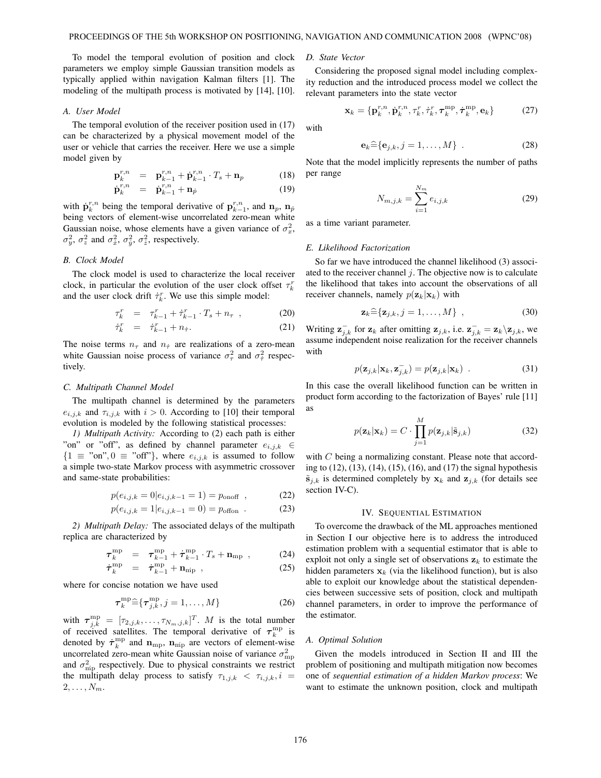To model the temporal evolution of position and clock parameters we employ simple Gaussian transition models as typically applied within navigation Kalman filters [1]. The modeling of the multipath process is motivated by [14], [10].

#### *A. User Model*

The temporal evolution of the receiver position used in (17) can be characterized by a physical movement model of the user or vehicle that carries the receiver. Here we use a simple model given by

$$
\mathbf{p}_{k}^{r,n} = \mathbf{p}_{k-1}^{r,n} + \dot{\mathbf{p}}_{k-1}^{r,n} \cdot T_s + \mathbf{n}_p \tag{18}
$$

$$
\dot{\mathbf{p}}_k^{r,n} = \dot{\mathbf{p}}_{k-1}^{r,n} + \mathbf{n}_p \tag{19}
$$

with  $\mathbf{p}_{k}^{r,n}$  being the temporal derivative of  $\mathbf{p}_{k-1}^{r,n}$ , and  $\mathbf{n}_{p}$ ,  $\mathbf{n}_{p}$ <br>heing vectors of element-wise uncorrelated zero-mean white being vectors of element-wise uncorrelated zero-mean white Gaussian noise, whose elements have a given variance of  $\sigma_x^2$ ,  $\sigma^2$  and  $\sigma^2$ ,  $\sigma^2$ ,  $\sigma^2$ , respectively  $\sigma_y^2$ ,  $\sigma_z^2$  and  $\sigma_x^2$ ,  $\sigma_y^2$ ,  $\sigma_z^2$ , respectively.

## *B. Clock Model*

The clock model is used to characterize the local receiver clock, in particular the evolution of the user clock offset  $\tau_{\iota}^r$ and the user clock drift  $\dot{\tau}_k^r$ . We use this simple model:

$$
\tau_k^r = \tau_{k-1}^r + \tau_{k-1}^r \cdot T_s + n_\tau , \qquad (20)
$$

$$
\dot{\tau}_k^r = \dot{\tau}_{k-1}^r + n_{\dot{\tau}}.\tag{21}
$$

The noise terms  $n_{\tau}$  and  $n_{\tau}$  are realizations of a zero-mean white Gaussian noise process of variance  $\sigma_{\tau}^2$  and  $\sigma_{\tau}^2$  respectively tively.

## *C. Multipath Channel Model*

The multipath channel is determined by the parameters  $e_{i,j,k}$  and  $\tau_{i,j,k}$  with  $i > 0$ . According to [10] their temporal evolution is modeled by the following statistical processes:

*1) Multipath Activity:* According to (2) each path is either "on" or "off", as defined by channel parameter  $e_{i,j,k} \in$  ${1 \equiv$  "on",  ${0 \equiv$  "off"}, where  ${e_{i,j,k}}$  is assumed to follow a simple two-state Markov process with asymmetric crossover and same-state probabilities:

$$
p(e_{i,j,k} = 0 | e_{i,j,k-1} = 1) = p_{\text{onoff}} \quad , \tag{22}
$$

$$
p(e_{i,j,k} = 1|e_{i,j,k-1} = 0) = p_{\text{offon}} \tag{23}
$$

*2) Multipath Delay:* The associated delays of the multipath replica are characterized by

$$
\tau_{\substack{\text{mp} \\ \cdot \text{mp}}}^{\text{mp}} = \tau_{\substack{k-1 \\ \cdot \text{mp}}}^{\text{mp}} + \dot{\tau}_{k-1}^{\text{mp}} \cdot T_s + \mathbf{n}_{\text{mp}} \,, \tag{24}
$$

$$
\dot{\boldsymbol{\tau}}_k^{\rm mp} = \dot{\boldsymbol{\tau}}_{k-1}^{\rm mp} + \mathbf{n}_{\rm mp} \quad , \tag{25}
$$

where for concise notation we have used

$$
\boldsymbol{\tau}_{k}^{\text{mp}} \widehat{=} \{ \boldsymbol{\tau}_{j,k}^{\text{mp}}, j = 1, \dots, M \}
$$
 (26)

with  $\tau_{j,k}^{\text{mp}} = [\tau_{2,j,k}, \dots, \tau_{N_m,j,k}]^T$ . *M* is the total number<br>of received satellites. The temporal derivative of  $\tau_{\text{mp}}^{\text{mp}}$  is of received satellites. The temporal derivative of  $\tau_k^{\text{mp}}$  is<br>denoted by  $\dot{\tau}_k^{\text{mp}}$  and **n** denoted by  $\dot{\tau}_k^{\text{mp}}$  and  $\mathbf{n}_{\text{mp}}$ ,  $\mathbf{n}_{\text{min}}$  are vectors of element-wise uncorrelated zero-mean white Gaussian noise of variance  $\sigma_{\text{mp}}^2$ <br>and  $\sigma^2$  respectively. Due to physical constraints we restrict and  $\sigma_{\text{mp}}^2$  respectively. Due to physical constraints we restrict<br>the multipath delay process to satisfy  $\tau_{\text{eff}}$  ( $\tau_{\text{eff}}$ )  $\tau_{\text{eff}}$  ( $\tau_{\text{eff}}$ ) the multipath delay process to satisfy  $\tau_{1,j,k} < \tau_{i,j,k}, i =$  $2,\ldots,N_m$ .

*D. State Vector*

Considering the proposed signal model including complexity reduction and the introduced process model we collect the relevant parameters into the state vector

$$
\mathbf{x}_k = \{\mathbf{p}_k^{r,n}, \dot{\mathbf{p}}_k^{r,n}, \tau_k^r, \dot{\tau}_k^r, \boldsymbol{\tau}_k^{\text{mp}}, \dot{\boldsymbol{\tau}}_k^{\text{mp}}, \mathbf{e}_k\} \tag{27}
$$

with

$$
\mathbf{e}_k \widehat{=} \{ \mathbf{e}_{j,k}, j = 1, \dots, M \} \quad . \tag{28}
$$

Note that the model implicitly represents the number of paths per range

$$
N_{m,j,k} = \sum_{i=1}^{N_m} e_{i,j,k}
$$
 (29)

as a time variant parameter.

#### *E. Likelihood Factorization*

So far we have introduced the channel likelihood (3) associated to the receiver channel  $j$ . The objective now is to calculate the likelihood that takes into account the observations of all receiver channels, namely  $p(\mathbf{z}_k|\mathbf{x}_k)$  with

$$
\mathbf{z}_k \widehat{=} \{ \mathbf{z}_{j,k}, j = 1, \dots, M \}, \qquad (30)
$$

Writing  $\mathbf{z}_{j,k}^{\top}$  for  $\mathbf{z}_k$  after omitting  $\mathbf{z}_{j,k}$ , i.e.  $\mathbf{z}_{j,k}^{\top} = \mathbf{z}_k \setminus \mathbf{z}_{j,k}$ , we assume independent noise realization for the receiver channels assume independent noise realization for the receiver channels with

$$
p(\mathbf{z}_{j,k}|\mathbf{x}_k, \mathbf{z}_{j,k}^-) = p(\mathbf{z}_{j,k}|\mathbf{x}_k) \tag{31}
$$

In this case the overall likelihood function can be written in product form according to the factorization of Bayes' rule [11] as

$$
p(\mathbf{z}_k|\mathbf{x}_k) = C \cdot \prod_{j=1}^{M} p(\mathbf{z}_{j,k}|\tilde{\mathbf{s}}_{j,k})
$$
 (32)

with C being a normalizing constant. Please note that according to (12), (13), (14), (15), (16), and (17) the signal hypothesis  $\tilde{\mathbf{s}}_{j,k}$  is determined completely by  $\mathbf{x}_k$  and  $\mathbf{z}_{j,k}$  (for details see section IV-C).

#### IV. SEQUENTIAL ESTIMATION

To overcome the drawback of the ML approaches mentioned in Section I our objective here is to address the introduced estimation problem with a sequential estimator that is able to exploit not only a single set of observations  $z_k$  to estimate the hidden parameters  $x_k$  (via the likelihood function), but is also able to exploit our knowledge about the statistical dependencies between successive sets of position, clock and multipath channel parameters, in order to improve the performance of the estimator.

#### *A. Optimal Solution*

Given the models introduced in Section II and III the problem of positioning and multipath mitigation now becomes one of *sequential estimation of a hidden Markov process*: We want to estimate the unknown position, clock and multipath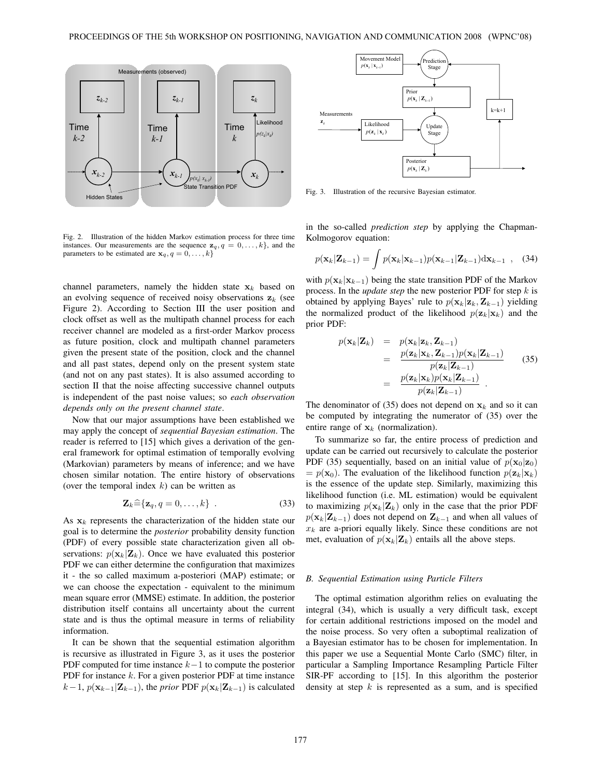

Fig. 2. Illustration of the hidden Markov estimation process for three time instances. Our measurements are the sequence  $z_q$ ,  $q = 0, \ldots, k$ , and the parameters to be estimated are  $\mathbf{x}_q, q = 0, \ldots, k$ 

channel parameters, namely the hidden state  $x_k$  based on an evolving sequence of received noisy observations  $z_k$  (see Figure 2). According to Section III the user position and clock offset as well as the multipath channel process for each receiver channel are modeled as a first-order Markov process as future position, clock and multipath channel parameters given the present state of the position, clock and the channel and all past states, depend only on the present system state (and not on any past states). It is also assumed according to section II that the noise affecting successive channel outputs is independent of the past noise values; so *each observation depends only on the present channel state*.

Now that our major assumptions have been established we may apply the concept of *sequential Bayesian estimation*. The reader is referred to [15] which gives a derivation of the general framework for optimal estimation of temporally evolving (Markovian) parameters by means of inference; and we have chosen similar notation. The entire history of observations (over the temporal index  $k$ ) can be written as

$$
\mathbf{Z}_k \widehat{=} \{ \mathbf{z}_q, q = 0, \dots, k \} \quad . \tag{33}
$$

As  $x_k$  represents the characterization of the hidden state our goal is to determine the *posterior* probability density function (PDF) of every possible state characterization given all observations:  $p(\mathbf{x}_k|\mathbf{Z}_k)$ . Once we have evaluated this posterior PDF we can either determine the configuration that maximizes it - the so called maximum a-posteriori (MAP) estimate; or we can choose the expectation - equivalent to the minimum mean square error (MMSE) estimate. In addition, the posterior distribution itself contains all uncertainty about the current state and is thus the optimal measure in terms of reliability information.

It can be shown that the sequential estimation algorithm is recursive as illustrated in Figure 3, as it uses the posterior PDF computed for time instance  $k-1$  to compute the posterior PDF for instance k. For a given posterior PDF at time instance  $k-1$ ,  $p(\mathbf{x}_{k-1}|\mathbf{Z}_{k-1})$ , the *prior* PDF  $p(\mathbf{x}_k|\mathbf{Z}_{k-1})$  is calculated



Fig. 3. Illustration of the recursive Bayesian estimator.

in the so-called *prediction step* by applying the Chapman-Kolmogorov equation:

$$
p(\mathbf{x}_k|\mathbf{Z}_{k-1}) = \int p(\mathbf{x}_k|\mathbf{x}_{k-1})p(\mathbf{x}_{k-1}|\mathbf{Z}_{k-1})\mathrm{d}\mathbf{x}_{k-1} , \quad (34)
$$

with  $p(\mathbf{x}_k|\mathbf{x}_{k-1})$  being the state transition PDF of the Markov process. In the *update step* the new posterior PDF for step k is obtained by applying Bayes' rule to  $p(\mathbf{x}_k|\mathbf{z}_k, \mathbf{Z}_{k-1})$  yielding the normalized product of the likelihood  $p(\mathbf{z}_k|\mathbf{x}_k)$  and the prior PDF:

$$
p(\mathbf{x}_k|\mathbf{Z}_k) = p(\mathbf{x}_k|\mathbf{z}_k, \mathbf{Z}_{k-1})
$$
  
\n
$$
= \frac{p(\mathbf{z}_k|\mathbf{x}_k, \mathbf{Z}_{k-1})p(\mathbf{x}_k|\mathbf{Z}_{k-1})}{p(\mathbf{z}_k|\mathbf{Z}_{k-1})}
$$
(35)  
\n
$$
= \frac{p(\mathbf{z}_k|\mathbf{x}_k)p(\mathbf{x}_k|\mathbf{Z}_{k-1})}{p(\mathbf{z}_k|\mathbf{Z}_{k-1})}.
$$

The denominator of (35) does not depend on  $x_k$  and so it can be computed by integrating the numerator of (35) over the entire range of  $x_k$  (normalization).

To summarize so far, the entire process of prediction and update can be carried out recursively to calculate the posterior PDF (35) sequentially, based on an initial value of  $p(\mathbf{x}_0|\mathbf{z}_0)$  $= p(\mathbf{x}_0)$ . The evaluation of the likelihood function  $p(\mathbf{z}_k|\mathbf{x}_k)$ is the essence of the update step. Similarly, maximizing this likelihood function (i.e. ML estimation) would be equivalent to maximizing  $p(\mathbf{x}_k|\mathbf{Z}_k)$  only in the case that the prior PDF  $p(\mathbf{x}_k|\mathbf{Z}_{k-1})$  does not depend on  $\mathbf{Z}_{k-1}$  and when all values of  $x_k$  are a-priori equally likely. Since these conditions are not met, evaluation of  $p(\mathbf{x}_k|\mathbf{Z}_k)$  entails all the above steps.

#### *B. Sequential Estimation using Particle Filters*

The optimal estimation algorithm relies on evaluating the integral (34), which is usually a very difficult task, except for certain additional restrictions imposed on the model and the noise process. So very often a suboptimal realization of a Bayesian estimator has to be chosen for implementation. In this paper we use a Sequential Monte Carlo (SMC) filter, in particular a Sampling Importance Resampling Particle Filter SIR-PF according to [15]. In this algorithm the posterior density at step  $k$  is represented as a sum, and is specified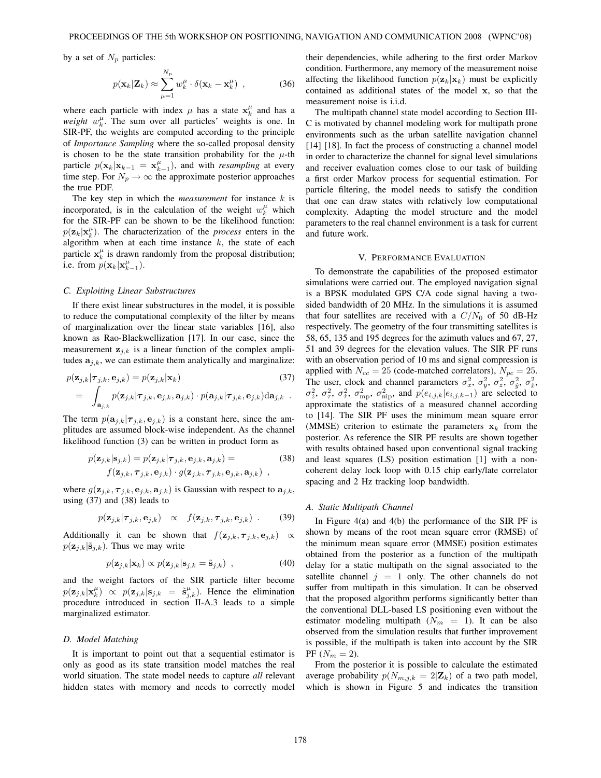by a set of  $N_p$  particles:

$$
p(\mathbf{x}_k|\mathbf{Z}_k) \approx \sum_{\mu=1}^{N_p} w_k^{\mu} \cdot \delta(\mathbf{x}_k - \mathbf{x}_k^{\mu}) \tag{36}
$$

where each particle with index  $\mu$  has a state  $\mathbf{x}_{k}^{\mu}$  and has a *weight w*<sup> $\mu$ </sup>. The sum over all particles' weights is one. In *weight*  $w_k^{\mu}$ . The sum over all particles' weights is one. In SIR-PF the weights are computed according to the principle SIR-PF, the weights are computed according to the principle of *Importance Sampling* where the so-called proposal density is chosen to be the state transition probability for the  $\mu$ -th particle  $p(\mathbf{x}_k|\mathbf{x}_{k-1} = \mathbf{x}_{k-1}^{\mu})$ , and with *resampling* at every time step. For  $N \to \infty$  the approximate posterior approaches time step. For  $N_p \to \infty$  the approximate posterior approaches the true PDF.

The key step in which the *measurement* for instance k is incorporated, is in the calculation of the weight  $w_k^{\mu}$  which<br>for the SIR-PE can be shown to be the likelihood function: for the SIR-PF can be shown to be the likelihood function:  $p(\mathbf{z}_k|\mathbf{x}_k^{\mu})$ . The characterization of the *process* enters in the algorithm when at each time instance k the state of each algorithm when at each time instance  $k$ , the state of each particle  $\mathbf{x}_{k}^{\mu}$  is drawn randomly from the proposal distribution; i.e. from  $p(\mathbf{x}_k|\mathbf{x}_{k-1}^{\mu})$ .

## *C. Exploiting Linear Substructures*

If there exist linear substructures in the model, it is possible to reduce the computational complexity of the filter by means of marginalization over the linear state variables [16], also known as Rao-Blackwellization [17]. In our case, since the measurement  $z_{i,k}$  is a linear function of the complex amplitudes  $a_{j,k}$ , we can estimate them analytically and marginalize:

$$
p(\mathbf{z}_{j,k}|\boldsymbol{\tau}_{j,k}, \mathbf{e}_{j,k}) = p(\mathbf{z}_{j,k}|\mathbf{x}_k)
$$
(37)  
= 
$$
\int_{\mathbf{a}_{j,k}} p(\mathbf{z}_{j,k}|\boldsymbol{\tau}_{j,k}, \mathbf{e}_{j,k}, \mathbf{a}_{j,k}) \cdot p(\mathbf{a}_{j,k}|\boldsymbol{\tau}_{j,k}, \mathbf{e}_{j,k}) \mathrm{d}\mathbf{a}_{j,k}.
$$

The term  $p(\mathbf{a}_{j,k}|\boldsymbol{\tau}_{j,k}, \mathbf{e}_{j,k})$  is a constant here, since the amplitudes are assumed block-wise independent. As the channel likelihood function (3) can be written in product form as

$$
p(\mathbf{z}_{j,k}|\mathbf{s}_{j,k}) = p(\mathbf{z}_{j,k}|\boldsymbol{\tau}_{j,k}, \mathbf{e}_{j,k}, \mathbf{a}_{j,k}) = (38)
$$
  

$$
f(\mathbf{z}_{j,k}, \boldsymbol{\tau}_{j,k}, \mathbf{e}_{j,k}) \cdot g(\mathbf{z}_{j,k}, \boldsymbol{\tau}_{j,k}, \mathbf{e}_{j,k}, \mathbf{a}_{j,k}) ,
$$

where  $g(\mathbf{z}_{j,k}, \boldsymbol{\tau}_{j,k}, \mathbf{e}_{j,k}, \mathbf{a}_{j,k})$  is Gaussian with respect to  $\mathbf{a}_{j,k}$ , using (37) and (38) leads to

$$
p(\mathbf{z}_{j,k}|\boldsymbol{\tau}_{j,k},\mathbf{e}_{j,k}) \propto f(\mathbf{z}_{j,k},\boldsymbol{\tau}_{j,k},\mathbf{e}_{j,k}) . \hspace{1cm} (39)
$$

Additionally it can be shown that  $f(\mathbf{z}_{j,k}, \tau_{j,k}, \mathbf{e}_{j,k}) \propto$  $p(\mathbf{z}_{j,k}|\tilde{\mathbf{s}}_{j,k})$ . Thus we may write

$$
p(\mathbf{z}_{j,k}|\mathbf{x}_k) \propto p(\mathbf{z}_{j,k}|\mathbf{s}_{j,k} = \tilde{\mathbf{s}}_{j,k}) \tag{40}
$$

and the weight factors of the SIR particle filter become  $p(\mathbf{z}_{j,k}|\mathbf{x}_{k}^{u}) \propto p(\mathbf{z}_{j,k}|\mathbf{s}_{j,k} = \tilde{\mathbf{s}}_{j,k}^{u})$ . Hence the elimination procedure introduced in section II-A.3 leads to a simple marginalized estimator.

#### *D. Model Matching*

It is important to point out that a sequential estimator is only as good as its state transition model matches the real world situation. The state model needs to capture *all* relevant hidden states with memory and needs to correctly model their dependencies, while adhering to the first order Markov condition. Furthermore, any memory of the measurement noise affecting the likelihood function  $p(\mathbf{z}_k|\mathbf{x}_k)$  must be explicitly contained as additional states of the model **x**, so that the measurement noise is i.i.d.

The multipath channel state model according to Section III-C is motivated by channel modeling work for multipath prone environments such as the urban satellite navigation channel [14] [18]. In fact the process of constructing a channel model in order to characterize the channel for signal level simulations and receiver evaluation comes close to our task of building a first order Markov process for sequential estimation. For particle filtering, the model needs to satisfy the condition that one can draw states with relatively low computational complexity. Adapting the model structure and the model parameters to the real channel environment is a task for current and future work.

#### V. PERFORMANCE EVALUATION

To demonstrate the capabilities of the proposed estimator simulations were carried out. The employed navigation signal is a BPSK modulated GPS C/A code signal having a twosided bandwidth of 20 MHz. In the simulations it is assumed that four satellites are received with a  $C/N_0$  of 50 dB-Hz respectively. The geometry of the four transmitting satellites is 58, 65, 135 and 195 degrees for the azimuth values and 67, 27, 51 and 39 degrees for the elevation values. The SIR PF runs with an observation period of 10 ms and signal compression is applied with  $N_{cc} = 25$  (code-matched correlators),  $N_{pc} = 25$ . The user, clock and channel parameters  $\sigma_x^2$ ,  $\sigma_y^2$ ,  $\sigma_z^2$ ,  $\sigma_y^2$ ,  $\sigma_x^2$ ,  $\sigma_x^2$ ,  $\sigma_z^2$ ,  $\sigma_z^2$ ,  $\sigma_z^2$ ,  $\sigma_z^2$ ,  $\sigma_z^2$ ,  $\sigma_z^2$ ,  $\sigma_z^2$ ,  $\sigma_z^2$ ,  $\sigma_z^2$ ,  $\sigma_z^2$ , and  $p$ (existence) are selected to  $\sigma_z^2$ ,  $\sigma_{\tau}^2$ ,  $\sigma_{\tau}^2$ ,  $\sigma_{\text{mp}}^2$ ,  $\sigma_{\text{mp}}^2$ , and  $p(e_{i,j,k}|e_{i,j,k-1})$  are selected to a measured channel according approximate the statistics of a measured channel according to [14]. The SIR PF uses the minimum mean square error (MMSE) criterion to estimate the parameters  $x_k$  from the posterior. As reference the SIR PF results are shown together with results obtained based upon conventional signal tracking and least squares (LS) position estimation [1] with a noncoherent delay lock loop with 0.15 chip early/late correlator spacing and 2 Hz tracking loop bandwidth.

## *A. Static Multipath Channel*

In Figure 4(a) and 4(b) the performance of the SIR PF is shown by means of the root mean square error (RMSE) of the minimum mean square error (MMSE) position estimates obtained from the posterior as a function of the multipath delay for a static multipath on the signal associated to the satellite channel  $j = 1$  only. The other channels do not suffer from multipath in this simulation. It can be observed that the proposed algorithm performs significantly better than the conventional DLL-based LS positioning even without the estimator modeling multipath  $(N_m = 1)$ . It can be also observed from the simulation results that further improvement is possible, if the multipath is taken into account by the SIR PF  $(N_m = 2)$ .

From the posterior it is possible to calculate the estimated average probability  $p(N_{m,i,k} = 2|\mathbf{Z}_k)$  of a two path model, which is shown in Figure 5 and indicates the transition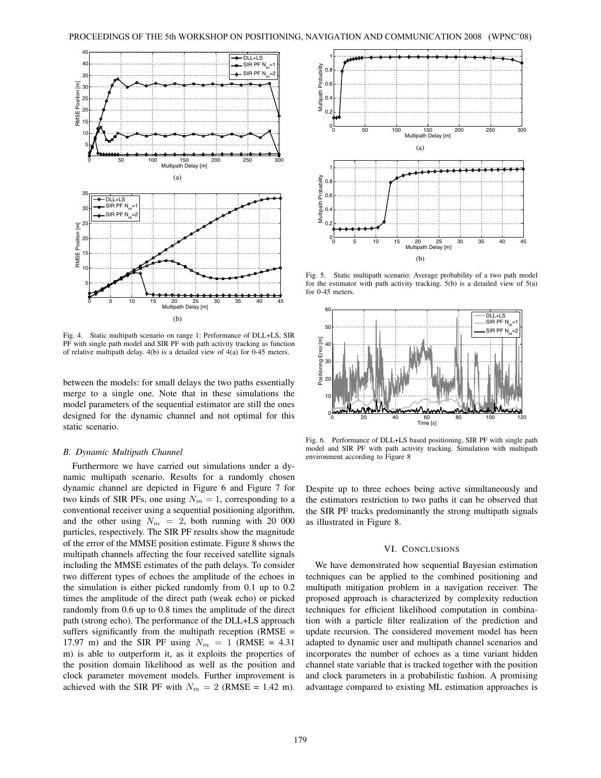

Fig. 4. Static multipath scenario on range 1: Performance of DLL+LS, SIR PF with single path model and SIR PF with path activity tracking as function of relative multipath delay. 4(b) is a detailed view of 4(a) for 0-45 meters.

between the models: for small delays the two paths essentially merge to a single one. Note that in these simulations the model parameters of the sequential estimator are still the ones designed for the dynamic channel and not optimal for this static scenario.

## *B. Dynamic Multipath Channel*

Furthermore we have carried out simulations under a dynamic multipath scenario. Results for a randomly chosen dynamic channel are depicted in Figure 6 and Figure 7 for two kinds of SIR PFs, one using  $N_m = 1$ , corresponding to a conventional receiver using a sequential positioning algorithm, and the other using  $N_m = 2$ , both running with 20 000 particles, respectively. The SIR PF results show the magnitude of the error of the MMSE position estimate. Figure 8 shows the multipath channels affecting the four received satellite signals including the MMSE estimates of the path delays. To consider two different types of echoes the amplitude of the echoes in the simulation is either picked randomly from 0.1 up to 0.2 times the amplitude of the direct path (weak echo) or picked randomly from 0.6 up to 0.8 times the amplitude of the direct path (strong echo). The performance of the DLL+LS approach suffers significantly from the multipath reception (RMSE = 17.97 m) and the SIR PF using  $N_m = 1$  (RMSE = 4.31) m) is able to outperform it, as it exploits the properties of the position domain likelihood as well as the position and clock parameter movement models. Further improvement is achieved with the SIR PF with  $N_m = 2$  (RMSE = 1.42 m).



Fig. 5. Static multipath scenario: Average probability of a two path model for the estimator with path activity tracking. 5(b) is a detailed view of 5(a) for 0-45 meters.



Fig. 6. Performance of DLL+LS based positioning, SIR PF with single path model and SIR PF with path activity tracking. Simulation with multipath environment according to Figure 8

Despite up to three echoes being active simultaneously and the estimators restriction to two paths it can be observed that the SIR PF tracks predominantly the strong multipath signals as illustrated in Figure 8.

# VI. CONCLUSIONS

We have demonstrated how sequential Bayesian estimation techniques can be applied to the combined positioning and multipath mitigation problem in a navigation receiver. The proposed approach is characterized by complexity reduction techniques for efficient likelihood computation in combination with a particle filter realization of the prediction and update recursion. The considered movement model has been adapted to dynamic user and multipath channel scenarios and incorporates the number of echoes as a time variant hidden channel state variable that is tracked together with the position and clock parameters in a probabilistic fashion. A promising advantage compared to existing ML estimation approaches is